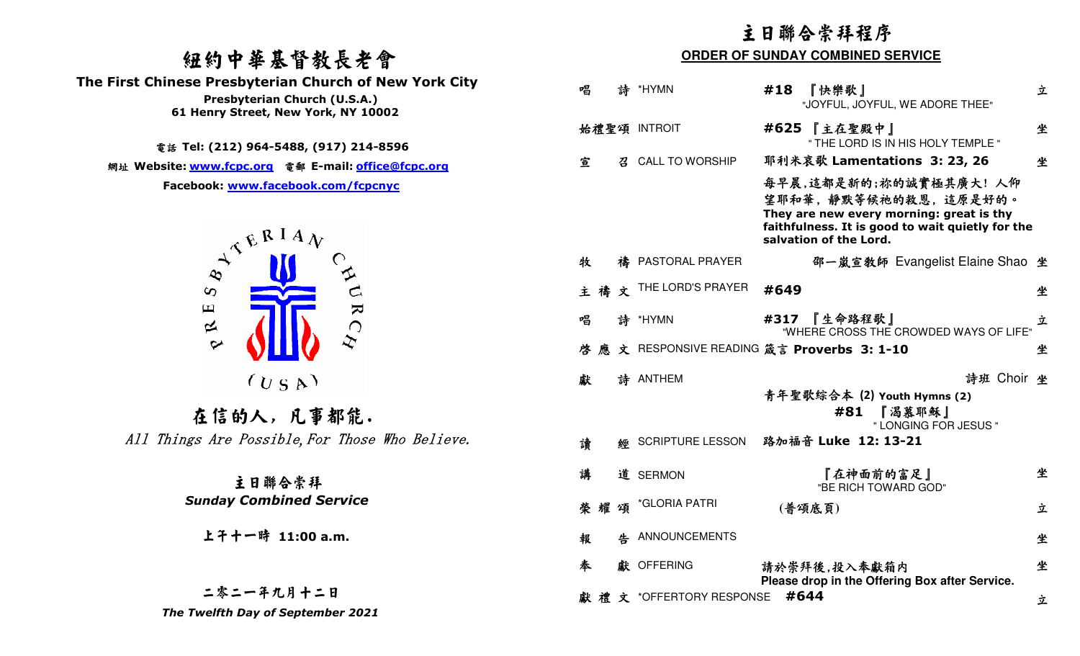# 紐約中華基督教長老會

 **The First Chinese Presbyterian Church of New York City** 



## 二零二一年九月十二日

|                                                                                                                                  | 主日聯合崇拜程序                                                 |                                                                                                                                                |  |
|----------------------------------------------------------------------------------------------------------------------------------|----------------------------------------------------------|------------------------------------------------------------------------------------------------------------------------------------------------|--|
| 纽约中華基督教長老會                                                                                                                       | <b>ORDER OF SUNDAY COMBINED SERVICE</b>                  |                                                                                                                                                |  |
| <b>First Chinese Presbyterian Church of New York City</b><br>Presbyterian Church (U.S.A.)<br>61 Henry Street, New York, NY 10002 | 唱<br>詩 *HYMN<br>#18<br>『快樂歌』                             | 立<br>"JOYFUL, JOYFUL, WE ADORE THEE"                                                                                                           |  |
|                                                                                                                                  | #625 【主在聖殿中】<br>始禮聖頌 INTROIT                             | 坐<br>" THE LORD IS IN HIS HOLY TEMPLE "                                                                                                        |  |
| 電話 Tel: (212) 964-5488, (917) 214-8596<br>網址 Website: <u>www.fcpc.org</u> 電郵 E-mail: <u>office@fcpc.org</u>                      | <b>CALL TO WORSHIP</b><br>宣                              | 耶利米哀歌 Lamentations 3: 23, 26<br>坐                                                                                                              |  |
| Facebook: www.facebook.com/fcpcnyc<br>$A^{\mathcal{A}^{\mathcal{B}^{\mathcal{B}^{\mathcal{I} A}}\mathcal{N}}}$                   | salvation of the Lord.                                   | 每早晨,這都是新的;祢的誠實極其廣大! 人仰<br>望耶和華,靜默等候祂的救恩,這原是好的。<br>They are new every morning: great is thy<br>faithfulness. It is good to wait quietly for the |  |
|                                                                                                                                  | 牧<br>PASTORAL PRAYER                                     | 邵一嵐宣教師 Evangelist Elaine Shao 坐                                                                                                                |  |
| $\infty$                                                                                                                         | 禱文 THE LORD'S PRAYER<br>#649<br>主                        | 坐                                                                                                                                              |  |
| $\blacktriangleright$<br>$\mathbf \Xi$<br>$\approx$                                                                              | #317 【生命路程歌】<br>唱<br>詩 *HYMN                             | 立<br>"WHERE CROSS THE CROWDED WAYS OF LIFE"                                                                                                    |  |
| $\sim$                                                                                                                           | 文 RESPONSIVE READING 箴言 Proverbs 3: 1-10<br>啓<br>應       | 坐                                                                                                                                              |  |
| (U S A)<br>在信的人,凡事都能.                                                                                                            | 獻<br>詩 ANTHEM<br>#81                                     | 詩班 Choir 坐<br>青年聖歌綜合本 (2) Youth Hymns (2)<br>『渴慕耶穌』<br>" LONGING FOR JESUS "                                                                   |  |
| All Things Are Possible, For Those Who Believe.                                                                                  | 路加福音 Luke 12: 13-21<br><b>SCRIPTURE LESSON</b><br>讀<br>您 |                                                                                                                                                |  |
| 主日聯合崇拜                                                                                                                           | 講<br>道 SERMON                                            | 坐<br>『在神面前的富足』<br>"BE RICH TOWARD GOD"                                                                                                         |  |
| <b>Sunday Combined Service</b>                                                                                                   | 榮耀頌 *GLORIA PATRI<br>(普頌底頁)                              | 立                                                                                                                                              |  |
| 上午十一時 11:00 a.m.                                                                                                                 | 4 ANNOUNCEMENTS<br>報                                     | 坐                                                                                                                                              |  |
|                                                                                                                                  | 奉<br>獻 OFFERING<br>請於崇拜後,投入奉獻箱内                          | 坐<br>Please drop in the Offering Box after Service.                                                                                            |  |
| 二零二一年九月十二日<br>The Twelfth Day of September 2021                                                                                  | 獻禮文 *OFFERTORY RESPONSE #644                             | 立                                                                                                                                              |  |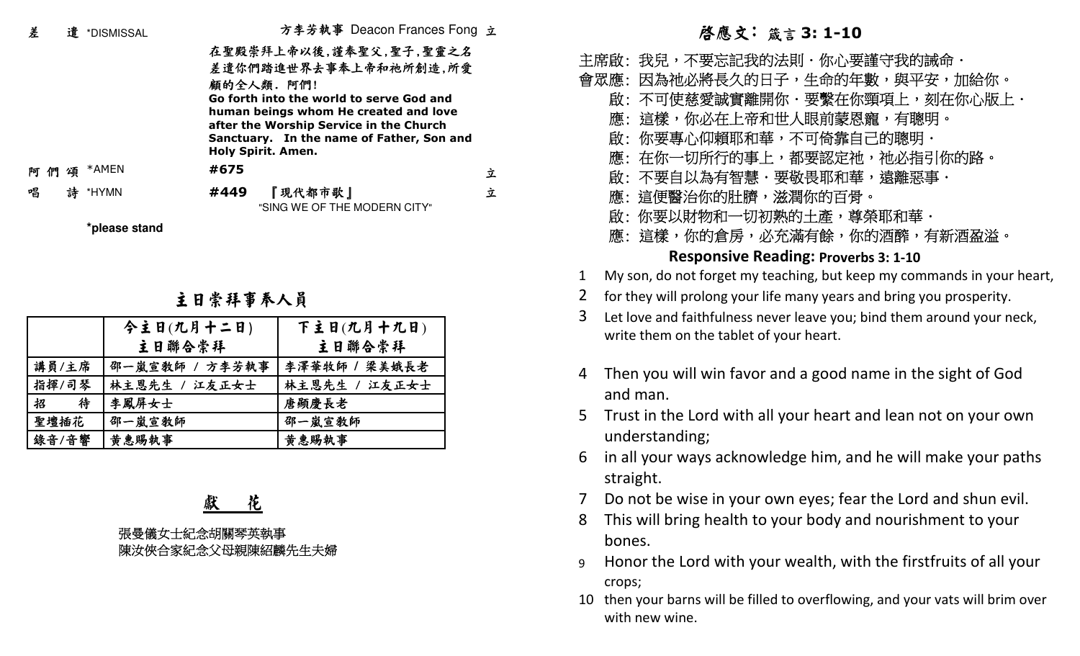| 差                                  | 遣 *DISMISSAL           |                                                 | 方李芳執事 Deacon Frances Fong 立                                                                                                                                                                                                  |   |                | 啓應文:箴                                                                                           |
|------------------------------------|------------------------|-------------------------------------------------|------------------------------------------------------------------------------------------------------------------------------------------------------------------------------------------------------------------------------|---|----------------|-------------------------------------------------------------------------------------------------|
|                                    | *AMEN                  | 顧的全人類. 阿們!<br><b>Holy Spirit. Amen.</b><br>#675 | 在聖殿崇拜上帝以後,謹奉聖父,聖子,聖靈之名<br>差遣你們踏進世界去事奉上帝和祂所創造,所愛<br>Go forth into the world to serve God and<br>human beings whom He created and love<br>after the Worship Service in the Church<br>Sanctuary. In the name of Father, Son and |   |                | 主席啟: 我兒,不要忘記我的?<br>會眾應: 因為祂必將長久的日<br>啟:不可使慈愛誠實離開仏<br>應:這樣,你必在上帝和t<br>啟:你要專心仰賴耶和華<br>應:在你一切所行的事上 |
| 們<br>頌<br>阿                        |                        |                                                 |                                                                                                                                                                                                                              | 立 |                | 啟: 不要自以為有智慧・引                                                                                   |
| 唱<br>詩                             | *HYMN<br>*please stand | #449                                            | 『現代都市歌』<br>"SING WE OF THE MODERN CITY"                                                                                                                                                                                      | 立 |                | 應: 這便醫治你的肚臍,<br>啟:你要以財物和一切初熟<br>應: 這樣,你的倉房,必?                                                   |
|                                    |                        |                                                 |                                                                                                                                                                                                                              |   |                | <b>Responsive Rea</b>                                                                           |
|                                    |                        |                                                 |                                                                                                                                                                                                                              |   | 1              | My son, do not forget my tea                                                                    |
|                                    |                        | 主日崇拜事奉人員                                        |                                                                                                                                                                                                                              |   | $\overline{2}$ | for they will prolong your life                                                                 |
|                                    |                        |                                                 |                                                                                                                                                                                                                              |   | $\overline{3}$ | Let love and faithfulness neve                                                                  |
|                                    |                        | 今主日(九月十二日)                                      | 下主日(九月十九日)                                                                                                                                                                                                                   |   |                | write them on the tablet of y                                                                   |
|                                    |                        | 主日聯合崇拜                                          | 主日聯合崇拜                                                                                                                                                                                                                       |   |                |                                                                                                 |
| 講員/主席                              |                        | 邵一嵐宣敎師 / 方李芳執事                                  | 李澤華牧師 / 梁美娥長老                                                                                                                                                                                                                |   |                | Then you will win favor a                                                                       |
| 指揮/司琴                              |                        | 林主恩先生 / 江友正女士                                   | 林主恩先生 / 江友正女士                                                                                                                                                                                                                |   |                | and man.                                                                                        |
| 招<br>聖壇插花                          | 待<br>李鳳屏女士<br>邵一嵐宣教師   |                                                 | 唐顯慶長老<br>邵一嵐宣教師                                                                                                                                                                                                              |   | $5^{\circ}$    | Trust in the Lord with all                                                                      |
| 錄音/音響                              | 黄惠賜執事                  |                                                 | 黄惠賜執事                                                                                                                                                                                                                        |   |                | understanding;                                                                                  |
|                                    |                        |                                                 |                                                                                                                                                                                                                              |   | 6              | in all your ways acknowle<br>straight.                                                          |
|                                    |                        | 花                                               |                                                                                                                                                                                                                              |   | $\overline{7}$ | Do not be wise in your ov                                                                       |
|                                    |                        |                                                 |                                                                                                                                                                                                                              |   | 8              | This will bring health to yo                                                                    |
| 張曼儀女士紀念胡關琴英執事<br>陳汝俠合家紀念父母親陳紹麟先生夫婦 |                        |                                                 |                                                                                                                                                                                                                              |   | bones.         |                                                                                                 |
|                                    |                        |                                                 |                                                                                                                                                                                                                              |   |                |                                                                                                 |

### 主日崇拜事奉人員

|        | 今主日(九月十二日)     | 下主日(九月十九日)    |
|--------|----------------|---------------|
|        | 主日聯合崇拜         | 主日聯合崇拜        |
| 講員/主席  | 邵一嵐宣敎師 / 方李芳執事 | 李澤華牧師 / 梁美娥長老 |
| 指揮/司琴  | 林主恩先生 / 江友正女士  | 林主恩先生 / 江友正女士 |
| 招<br>待 | 李鳳屏女士          | 唐顯慶長老         |
| 聖壇插花   | 邵一嵐宣教師         | 邵一嵐宣教師        |
| 錄音/音響  | 黄惠賜執事          | 黄惠賜執事         |

# 箴言 **3: 1-10**

- 法則・你心要謹守我的誡命・ 子,生命的年數,與平安,加給你。 你.要繫在你頸項上,刻在你心版上. 世人眼前蒙恩寵,有聰明。」 華,不可倚靠自己的聰明. 上,都要認定祂,祂必指引你的路。」 慧・要敬畏耶和華,遠離惡事. 臍,滋潤你的百骨。 熟的土產,尊榮耶和華. 啟: 你應:這樣,你的倉房,必充滿有餘,你的酒醡,有新酒盈溢。」 要以財物和切初**Responsive Reading: Proverbs 3: 1-10**
- 1My son, do not forget my teaching, but keep my commands in your heart,
- 2for they will prolong your life many years and bring you prosperity.
- 3 Let love and faithfulness never leave you; bind them around your neck, write them on the tablet of your heart.
- 4 Then you will win favor and a good name in the sight of God and man.
- 5 Trust in the Lord with all your heart and lean not on your own understanding;
- 6 in all your ways acknowledge him, and he will make your paths straight.
- 7Do not be wise in your own eyes; fear the Lord and shun evil.
- 8 This will bring health to your body and nourishment to your bones.
- 9 Honor the Lord with your wealth, with the firstfruits of all your crops;
- 10 then your barns will be filled to overflowing, and your vats will brim over with new wine.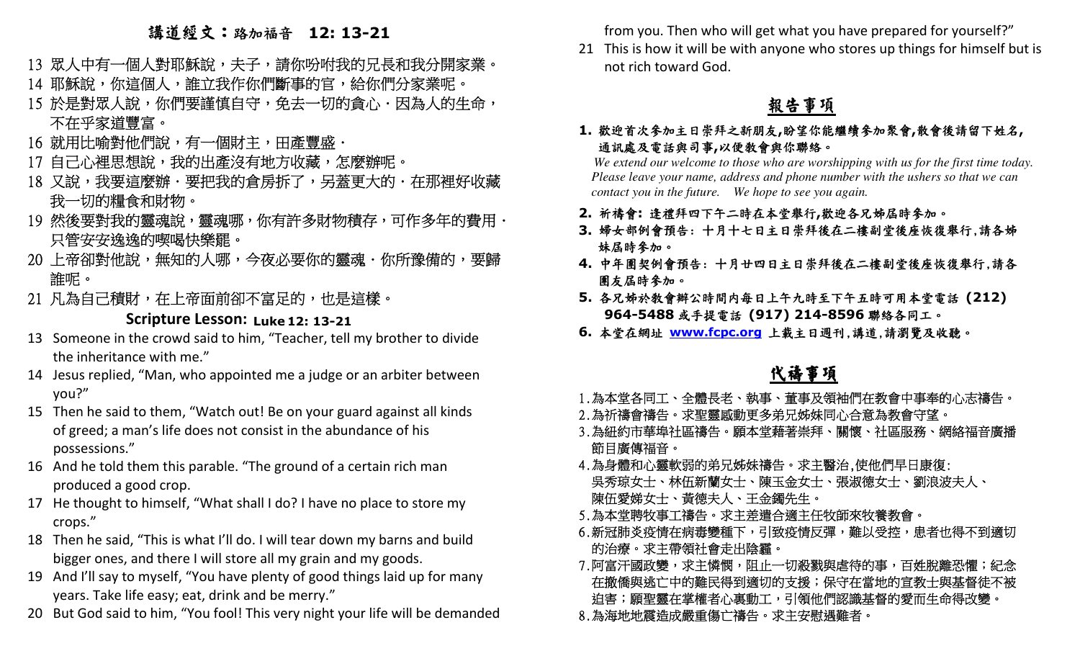# 講道經文:路加福音 **12: 13-21**

- 13 眾人中有一個人對耶穌說,夫子,請你吩咐我的兄長和我分開家業。」 14 耶穌說,你這個人,誰立我作你們斷事的官,給你們分家業呢。
- 15 於是對眾人說,你們要謹慎自守,免去一切的貪心.因為人的生命,

### 不在乎家道豐富。

- 16 就用比喻對他們說,有一個財主,田產豐盛.
- 17 自己心裡思想說,我的出產沒有地方收藏,怎麼辦呢。」
- 18 又說,我要這麼辦.要把我的倉房拆了,另蓋更大的.在那裡好收藏 我一切的糧食和財物。
- 19 然後要對我的靈魂說,靈魂哪,你有許多財物積存,可作多年的費用. 只管安安逸逸的喫喝快樂罷。
- 20 上帝卻對他說,無知的人哪,今夜必要你的靈魂.你所豫備的,要歸\_ 誰呢。
- 21 凡為自己積財,在上帝面前卻不富足的,也是這樣。」

### **Scripture Lesson: Luke 12: 13-21**

- 13 Someone in the crowd said to him, "Teacher, tell my brother to divide the inheritance with me."
- 14 Jesus replied, "Man, who appointed me a judge or an arbiter between you?"
- 15 Then he said to them, "Watch out! Be on your guard against all kinds of greed; a man's life does not consist in the abundance of his possessions."
- 16 And he told them this parable. "The ground of a certain rich man produced a good crop.
- 17 He thought to himself, "What shall I do? I have no place to store my crops."
- 18 Then he said, "This is what I'll do. I will tear down my barns and build bigger ones, and there I will store all my grain and my goods.
- 19 And I'll say to myself, "You have plenty of good things laid up for many years. Take life easy; eat, drink and be merry."
- 20 But God said to him, "You fool! This very night your life will be demanded

from you. Then who will get what you have prepared for yourself?"

21 This is how it will be with anyone who stores up things for himself but is not rich toward God.

## 報告事項

**1.**歡迎首次參加主日崇拜之新朋友**,**盼望你能繼續參加聚會**,**散會後請留下姓名**,** 通訊處及電話與司事**,**<sup>以</sup>便教會與你聯絡。

 *We extend our welcome to those who are worshipping with us for the first time today. Please leave your name, address and phone number with the ushers so that we can contact you in the future. We hope to see you again.*

- **2.** 祈禱會**:** 逢禮拜四下午二時在本堂舉行**,**歡迎各兄姊屆時參加。
- **3.** 婦女部例會預告: 十月十七日主日崇拜後在二樓副堂後座恢復舉行,請各姊 妹屆時參加。
- **4.** 中年團契例會預告: 十月廿四日主日崇拜後在二樓副堂後座恢復舉行,請各 團友屆時參加。
- **5.** 各兄姊於教會辦公時間內每日上午九時至下午五時可用本堂電話 **(212) 964-5488**或手提電話 **(917) 214-8596**聯絡各同工。
- **6.** 本堂在網址 **www.fcpc.org** 上載主日週刊,講道,請瀏覽及收聽。

# 代禱事項

- 1.為本堂各同工、全體長老、執事、董事及領袖們在教會中事奉的心志禱告。
- 2.為祈禱會禱告。求聖靈感動更多弟兄姊妹同心合意為教會守望。
- 3.為紐約市華埠社區禱告。願本堂藉著崇拜、關懷、社區服務、網絡福音廣播 節目廣傳福音。
- 4.為身體和心靈軟弱的弟兄姊妹禱告。求主醫治,使他們早日康復: 吳秀琼女士、林伍新蘭女士、陳玉金女士、張淑德女士、劉浪波夫人、 陳伍愛娣女士、黃德夫人、王金鐲先生。
- 5.為本堂聘牧事工禱告。求主差遣合適主任牧師來牧養教會。
- 6.新冠肺炎疫情在病毒變種下,引致疫情反彈,難以受控,患者也得不到適切 的治療。求主帶領社會走出陰霾。
- 7.阿富汗國政變,求主憐憫,阻止一切殺戮與虐待的事,百姓脫離恐懼;紀念 在撤僑與逃亡中的難民得到適切的支援;保守在當地的宣教士與基督徒不被 迫害;願聖靈在掌權者心裏動工,引領他們認識基督的愛而生命得改變。」
- 8.為海地地震造成嚴重傷亡禱告。求主安慰遇難者。